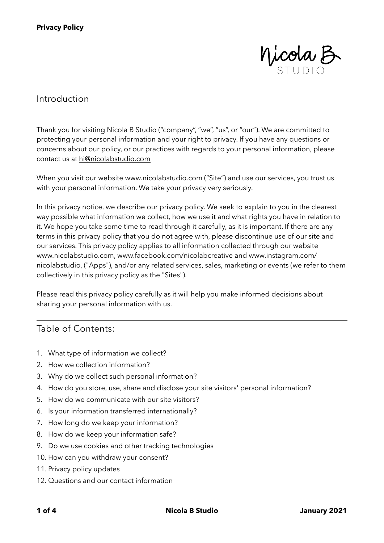

#### Introduction

Thank you for visiting Nicola B Studio ("company", "we", "us", or "our"). We are committed to protecting your personal information and your right to privacy. If you have any questions or concerns about our policy, or our practices with regards to your personal information, please contact us at [hi@nicolabstudio.com](mailto:hi@nicolabstudio.com)

When you visit our website www.nicolabstudio.com ("Site") and use our services, you trust us with your personal information. We take your privacy very seriously.

In this privacy notice, we describe our privacy policy. We seek to explain to you in the clearest way possible what information we collect, how we use it and what rights you have in relation to it. We hope you take some time to read through it carefully, as it is important. If there are any terms in this privacy policy that you do not agree with, please discontinue use of our site and our services. This privacy policy applies to all information collected through our website www.nicolabstudio.com, www.facebook.com/nicolabcreative and www.instagram.com/ nicolabstudio, ("Apps"), and/or any related services, sales, marketing or events (we refer to them collectively in this privacy policy as the "Sites").

Please read this privacy policy carefully as it will help you make informed decisions about sharing your personal information with us.

# Table of Contents:

- 1. What type of information we collect?
- 2. How we collection information?
- 3. Why do we collect such personal information?
- 4. How do you store, use, share and disclose your site visitors' personal information?
- 5. How do we communicate with our site visitors?
- 6. Is your information transferred internationally?
- 7. How long do we keep your information?
- 8. How do we keep your information safe?
- 9. Do we use cookies and other tracking technologies
- 10. How can you withdraw your consent?
- 11. Privacy policy updates
- 12. Questions and our contact information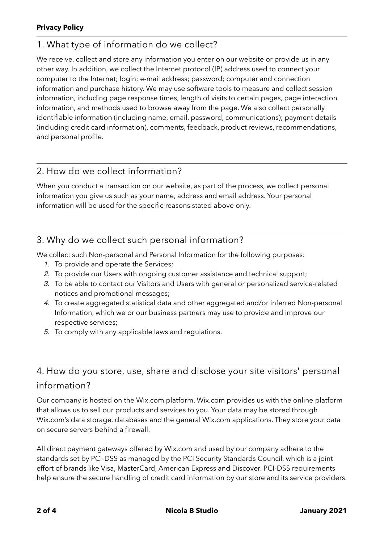# 1. What type of information do we collect?

We receive, collect and store any information you enter on our website or provide us in any other way. In addition, we collect the Internet protocol (IP) address used to connect your computer to the Internet; login; e-mail address; password; computer and connection information and purchase history. We may use software tools to measure and collect session information, including page response times, length of visits to certain pages, page interaction information, and methods used to browse away from the page. We also collect personally identifiable information (including name, email, password, communications); payment details (including credit card information), comments, feedback, product reviews, recommendations, and personal profile.

# 2. How do we collect information?

When you conduct a transaction on our website, as part of the process, we collect personal information you give us such as your name, address and email address. Your personal information will be used for the specific reasons stated above only.

# 3. Why do we collect such personal information?

We collect such Non-personal and Personal Information for the following purposes:

- *1.* To provide and operate the Services;
- *2.* To provide our Users with ongoing customer assistance and technical support;
- *3.* To be able to contact our Visitors and Users with general or personalized service-related notices and promotional messages;
- *4.* To create aggregated statistical data and other aggregated and/or inferred Non-personal Information, which we or our business partners may use to provide and improve our respective services;
- *5.* To comply with any applicable laws and regulations.

# 4. How do you store, use, share and disclose your site visitors' personal information?

Our company is hosted on the Wix.com platform. Wix.com provides us with the online platform that allows us to sell our products and services to you. Your data may be stored through Wix.com's data storage, databases and the general Wix.com applications. They store your data on secure servers behind a firewall.

All direct payment gateways offered by Wix.com and used by our company adhere to the standards set by PCI-DSS as managed by the PCI Security Standards Council, which is a joint effort of brands like Visa, MasterCard, American Express and Discover. PCI-DSS requirements help ensure the secure handling of credit card information by our store and its service providers.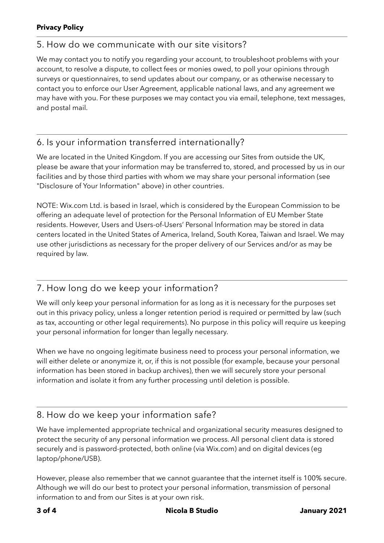#### **Privacy Policy**

# 5. How do we communicate with our site visitors?

We may contact you to notify you regarding your account, to troubleshoot problems with your account, to resolve a dispute, to collect fees or monies owed, to poll your opinions through surveys or questionnaires, to send updates about our company, or as otherwise necessary to contact you to enforce our User Agreement, applicable national laws, and any agreement we may have with you. For these purposes we may contact you via email, telephone, text messages, and postal mail.

# 6. Is your information transferred internationally?

We are located in the United Kingdom. If you are accessing our Sites from outside the UK, please be aware that your information may be transferred to, stored, and processed by us in our facilities and by those third parties with whom we may share your personal information (see "Disclosure of Your Information" above) in other countries.

NOTE: Wix.com Ltd. is based in Israel, which is considered by the European Commission to be offering an adequate level of protection for the Personal Information of EU Member State residents. However, Users and Users-of-Users' Personal Information may be stored in data centers located in the United States of America, Ireland, South Korea, Taiwan and Israel. We may use other jurisdictions as necessary for the proper delivery of our Services and/or as may be required by law.

# 7. How long do we keep your information?

We will only keep your personal information for as long as it is necessary for the purposes set out in this privacy policy, unless a longer retention period is required or permitted by law (such as tax, accounting or other legal requirements). No purpose in this policy will require us keeping your personal information for longer than legally necessary.

When we have no ongoing legitimate business need to process your personal information, we will either delete or anonymize it, or, if this is not possible (for example, because your personal information has been stored in backup archives), then we will securely store your personal information and isolate it from any further processing until deletion is possible.

# 8. How do we keep your information safe?

We have implemented appropriate technical and organizational security measures designed to protect the security of any personal information we process. All personal client data is stored securely and is password-protected, both online (via Wix.com) and on digital devices (eg laptop/phone/USB).

However, please also remember that we cannot guarantee that the internet itself is 100% secure. Although we will do our best to protect your personal information, transmission of personal information to and from our Sites is at your own risk.